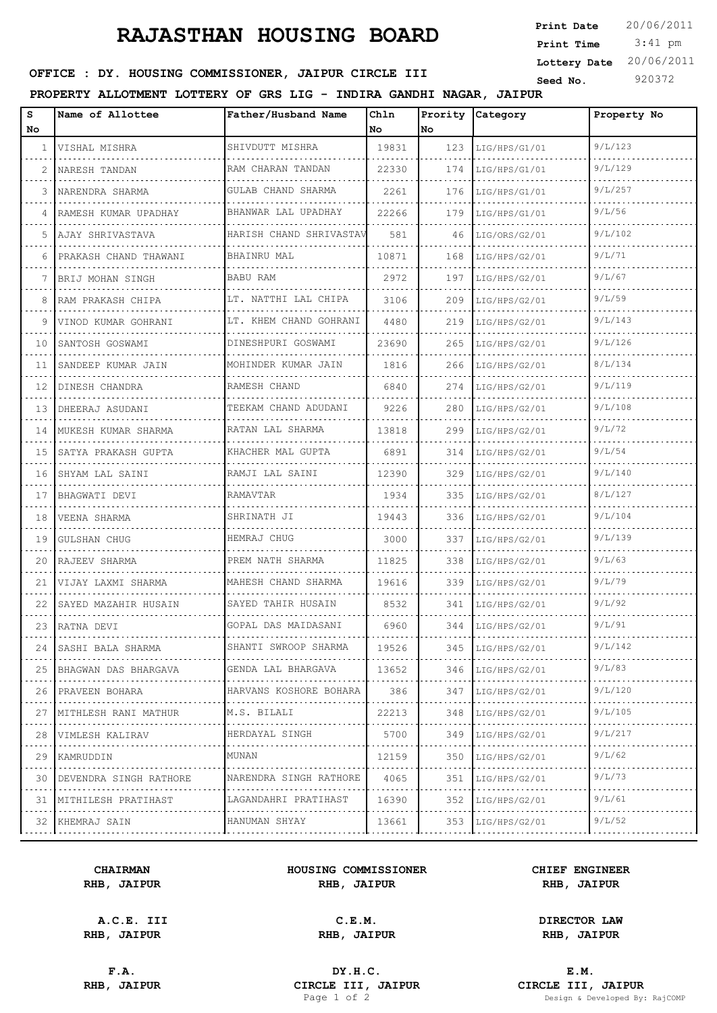# **RAJASTHAN HOUSING BOARD**

 3:41 pm **Print Date**  $20/06/2011$ **Print Time Lottery Date** 20/06/2011

# **SEED SEED SEED SEED ASSESSED SEED ASSESSED AT A TEXT OF FILE SEED IN SEED IN SEED ASSESSED SEED ASSESSED AT A PARTICLE III**

### **PROPERTY ALLOTMENT LOTTERY OF GRS LIG - INDIRA GANDHI NAGAR, JAIPUR**

| s<br>No         | Name of Allottee        | Father/Husband Name     | Ch1n<br>No | Prority<br>No. | Category            | Property No |
|-----------------|-------------------------|-------------------------|------------|----------------|---------------------|-------------|
| $\mathbf{1}$    | VISHAL MISHRA           | SHIVDUTT MISHRA         | 19831      | 123            | LIG/HPS/G1/01       | 9/L/123     |
| 2               | NARESH TANDAN           | RAM CHARAN TANDAN       | 22330      | 174            | LIG/HPS/G1/01       | 9/L/129     |
| 3               | NARENDRA SHARMA         | GULAB CHAND SHARMA      | 2261       | 176            | LIG/HPS/G1/01       | 9/L/257     |
| 4               | RAMESH KUMAR UPADHAY    | BHANWAR LAL UPADHAY     | 22266      | 179            | LIG/HPS/G1/01       | 9/L/56      |
| 5               | AJAY SHRIVASTAVA        | HARISH CHAND SHRIVASTAV | 581        | 46             | LIG/ORS/G2/01       | 9/L/102     |
| 6               | PRAKASH CHAND THAWANI   | <b>BHAINRU MAL</b>      | 10871      | 168            | LIG/HPS/G2/01       | 9/L/71      |
| 7               | BRIJ MOHAN SINGH        | BABU RAM                | 2972       | 197            | LIG/HPS/G2/01       | 9/L/67      |
| 8               | RAM PRAKASH CHIPA       | LT. NATTHI LAL CHIPA    | 3106       | 209            | LIG/HPS/G2/01       | 9/L/59      |
| 9               | VINOD KUMAR GOHRANI     | LT. KHEM CHAND GOHRANI  | 4480       | 219            | LIG/HPS/G2/01       | 9/L/143     |
| 10              | SANTOSH GOSWAMI         | DINESHPURI GOSWAMI      | 23690      | 265            | LIG/HPS/G2/01       | 9/L/126     |
| 11              | SANDEEP KUMAR JAIN      | MOHINDER KUMAR JAIN     | 1816       | 266            | LIG/HPS/G2/01       | 8/L/134     |
| 12              | DINESH CHANDRA          | RAMESH CHAND            | 6840       | 274            | LIG/HPS/G2/01       | 9/L/119     |
| 13 I            | DHEERAJ ASUDANI         | TEEKAM CHAND ADUDANI    | 9226       | 280            | LIG/HPS/G2/01       | 9/L/108     |
| 14              | MUKESH KUMAR SHARMA     | RATAN LAL SHARMA        | 13818      | 299            | LIG/HPS/G2/01       | 9/L/72      |
| 15 <sub>1</sub> | SATYA PRAKASH GUPTA     | KHACHER MAL GUPTA       | 6891       | 314            | LIG/HPS/G2/01       | 9/L/54      |
| 16              | SHYAM LAL SAINI         | RAMJI LAL SAINI         | 12390      | 329            | LIG/HPS/G2/01       | 9/L/140     |
| 17              | BHAGWATI DEVI           | RAMAVTAR                | 1934       | 335            | LIG/HPS/G2/01       | 8/L/127     |
| 18              | VEENA SHARMA            | SHRINATH JI             | 19443      | 336            | LIG/HPS/G2/01       | 9/L/104     |
| 19              | <b>GULSHAN CHUG</b>     | HEMRAJ CHUG             | 3000       | 337            | LIG/HPS/G2/01       | 9/L/139     |
| 20              | RAJEEV SHARMA           | PREM NATH SHARMA        | 11825      | 338            | LIG/HPS/G2/01       | 9/L/63      |
| 21              | VIJAY LAXMI SHARMA      | MAHESH CHAND SHARMA     | 19616      | 339            | LIG/HPS/G2/01       | 9/L/79      |
| 22              | SAYED MAZAHIR HUSAIN    | SAYED TAHIR HUSAIN      | 8532       | 341            | LIG/HPS/G2/01       | 9/L/92      |
|                 | 23   RATNA DEVI         | GOPAL DAS MAIDASANI     | 6960       |                | 344   LIG/HPS/G2/01 | 9/L/91      |
| 24              | SASHI BALA SHARMA       | SHANTI SWROOP SHARMA    | 19526      |                | 345   LIG/HPS/G2/01 | 9/L/142     |
|                 | 25 BHAGWAN DAS BHARGAVA | GENDA LAL BHARGAVA      | 13652      |                | 346   LIG/HPS/G2/01 | 9/L/83      |
|                 | 26 PRAVEEN BOHARA       | HARVANS KOSHORE BOHARA  | 386        | 347            | LIG/HPS/G2/01       | 9/L/120     |
| 27              | MITHLESH RANI MATHUR    | M.S. BILALI             | 22213      | 348            | LIG/HPS/G2/01       | 9/L/105     |
| 28              | .<br>VIMLESH KALIRAV    | HERDAYAL SINGH          | 5700       | 349            | LIG/HPS/G2/01       | 9/L/217     |
| 29              | KAMRUDDIN               | MUNAN                   | 12159      | 350            | LIG/HPS/G2/01       | 9/L/62      |
| 30              | DEVENDRA SINGH RATHORE  | NARENDRA SINGH RATHORE  | 4065       | 351            | LIG/HPS/G2/01       | 9/L/73      |
| 31              | MITHILESH PRATIHAST     | LAGANDAHRI PRATIHAST    | 16390      | 352            | LIG/HPS/G2/01       | 9/L/61      |
|                 | 32 KHEMRAJ SAIN         | HANUMAN SHYAY           | 13661      | 353            | LIG/HPS/G2/01       | 9/L/52      |

#### **CHAIRMAN HOUSING COMMISSIONER CHIEF ENGINEER RHB, JAIPUR RHB, JAIPUR RHB, JAIPUR**

**A.C.E. III C.E.M. DIRECTOR LAW**

**RHB, JAIPUR RHB, JAIPUR RHB, JAIPUR**

**F.A. DY.H.C. E.M. RHB, JAIPUR CIRCLE III, JAIPUR CIRCLE III, JAIPUR CIRCLE III, JAIPUR Page 1 of 2 Design & Developed By:** Design & Developed By: RajCOMP